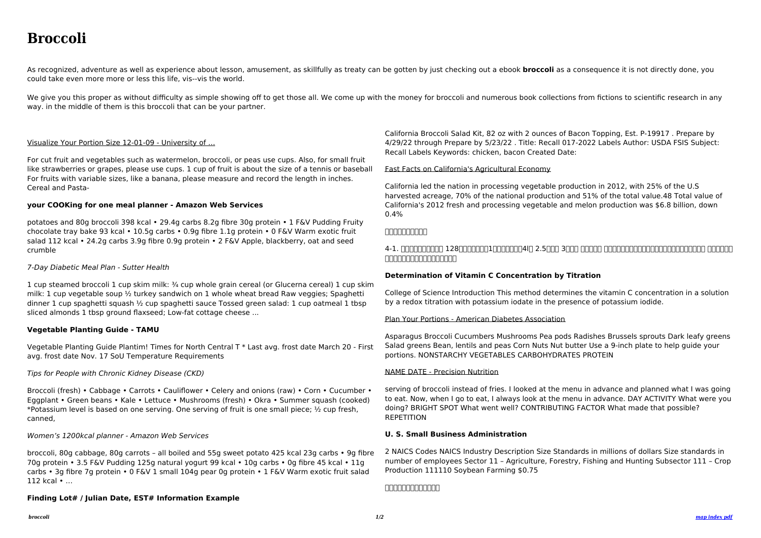# **Broccoli**

As recognized, adventure as well as experience about lesson, amusement, as skillfully as treaty can be gotten by just checking out a ebook **broccoli** as a consequence it is not directly done, you could take even more more or less this life, vis--vis the world.

We give you this proper as without difficulty as simple showing off to get those all. We come up with the money for broccoli and numerous book collections from fictions to scientific research in any way. in the middle of them is this broccoli that can be your partner.

#### Visualize Your Portion Size 12-01-09 - University of …

For cut fruit and vegetables such as watermelon, broccoli, or peas use cups. Also, for small fruit like strawberries or grapes, please use cups. 1 cup of fruit is about the size of a tennis or baseball For fruits with variable sizes, like a banana, please measure and record the length in inches. Cereal and Pasta-

#### **your COOKing for one meal planner - Amazon Web Services**

potatoes and 80g broccoli 398 kcal • 29.4g carbs 8.2g fibre 30g protein • 1 F&V Pudding Fruity chocolate tray bake 93 kcal • 10.5g carbs • 0.9g fibre 1.1g protein • 0 F&V Warm exotic fruit salad 112 kcal • 24.2g carbs 3.9g fibre 0.9g protein • 2 F&V Apple, blackberry, oat and seed crumble

#### 7-Day Diabetic Meal Plan - Sutter Health

1 cup steamed broccoli 1 cup skim milk: ¾ cup whole grain cereal (or Glucerna cereal) 1 cup skim milk: 1 cup vegetable soup ½ turkey sandwich on 1 whole wheat bread Raw veggies; Spaghetti dinner 1 cup spaghetti squash ½ cup spaghetti sauce Tossed green salad: 1 cup oatmeal 1 tbsp sliced almonds 1 tbsp ground flaxseed; Low-fat cottage cheese ...

### 4-1. חתחתהתחתה 128תחתהתח1החתה4ln 2.5החת 3החת החתר (16.1-17 התחתה 128תחתה 128 ネルの雨よけ設備内での育苗がお勧め

#### **Vegetable Planting Guide - TAMU**

Vegetable Planting Guide Plantim! Times for North Central T \* Last avg. frost date March 20 - First avg. frost date Nov. 17 SoU Temperature Requirements

#### Tips for People with Chronic Kidney Disease (CKD)

serving of broccoli instead of fries. I looked at the menu in advance and planned what I was going to eat. Now, when I go to eat, I always look at the menu in advance. DAY ACTIVITY What were you doing? BRIGHT SPOT What went well? CONTRIBUTING FACTOR What made that possible? **REPETITION** 

Broccoli (fresh) • Cabbage • Carrots • Cauliflower • Celery and onions (raw) • Corn • Cucumber • Eggplant • Green beans • Kale • Lettuce • Mushrooms (fresh) • Okra • Summer squash (cooked) \*Potassium level is based on one serving. One serving of fruit is one small piece; ½ cup fresh, canned,

#### Women's 1200kcal planner - Amazon Web Services

broccoli, 80g cabbage, 80g carrots – all boiled and 55g sweet potato 425 kcal 23g carbs • 9g fibre 70g protein • 3.5 F&V Pudding 125g natural yogurt 99 kcal • 10g carbs • 0g fibre 45 kcal • 11g carbs • 3g fibre 7g protein • 0 F&V 1 small 104g pear 0g protein • 1 F&V Warm exotic fruit salad 112 kcal • …

#### **Finding Lot# / Julian Date, EST# Information Example**

California Broccoli Salad Kit, 82 oz with 2 ounces of Bacon Topping, Est. P-19917 . Prepare by 4/29/22 through Prepare by 5/23/22 . Title: Recall 017-2022 Labels Author: USDA FSIS Subject: Recall Labels Keywords: chicken, bacon Created Date:

#### Fast Facts on California's Agricultural Economy

California led the nation in processing vegetable production in 2012, with 25% of the U.S harvested acreage, 70% of the national production and 51% of the total value.48 Total value of California's 2012 fresh and processing vegetable and melon production was \$6.8 billion, down 0.4%

#### **ブロッコリー栽培資料**

#### **Determination of Vitamin C Concentration by Titration**

College of Science Introduction This method determines the vitamin C concentration in a solution by a redox titration with potassium iodate in the presence of potassium iodide.

#### Plan Your Portions - American Diabetes Association

Asparagus Broccoli Cucumbers Mushrooms Pea pods Radishes Brussels sprouts Dark leafy greens Salad greens Bean, lentils and peas Corn Nuts Nut butter Use a 9-inch plate to help guide your portions. NONSTARCHY VEGETABLES CARBOHYDRATES PROTEIN

#### NAME DATE - Precision Nutrition

#### **U. S. Small Business Administration**

2 NAICS Codes NAICS Industry Description Size Standards in millions of dollars Size standards in number of employees Sector 11 – Agriculture, Forestry, Fishing and Hunting Subsector 111 – Crop Production 111110 Soybean Farming \$0.75

#### **ブロリロロロロロー**